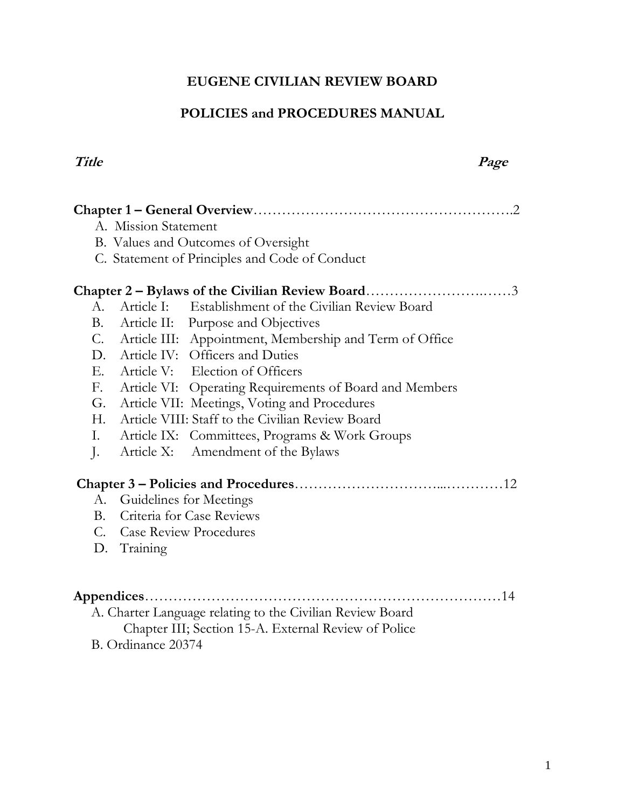# **EUGENE CIVILIAN REVIEW BOARD**

# **POLICIES and PROCEDURES MANUAL**

#### **Title Page**

| A. Mission Statement                                          |  |  |  |
|---------------------------------------------------------------|--|--|--|
| B. Values and Outcomes of Oversight                           |  |  |  |
| C. Statement of Principles and Code of Conduct                |  |  |  |
|                                                               |  |  |  |
| Article I: Establishment of the Civilian Review Board<br>A.   |  |  |  |
| <b>B.</b><br>Article II: Purpose and Objectives               |  |  |  |
| C. Article III: Appointment, Membership and Term of Office    |  |  |  |
| D. Article IV: Officers and Duties                            |  |  |  |
| $E_{\cdot}$<br>Article V: Election of Officers                |  |  |  |
| F.<br>Article VI: Operating Requirements of Board and Members |  |  |  |
| Article VII: Meetings, Voting and Procedures<br>G.            |  |  |  |
| Article VIII: Staff to the Civilian Review Board<br>H.        |  |  |  |
| Ι.<br>Article IX: Committees, Programs & Work Groups          |  |  |  |
| Article X:<br>Amendment of the Bylaws<br>$\cdot$              |  |  |  |
|                                                               |  |  |  |
| А.                                                            |  |  |  |
| Guidelines for Meetings<br>Criteria for Case Reviews<br>B.    |  |  |  |
|                                                               |  |  |  |
| C. Case Review Procedures                                     |  |  |  |
| D. Training                                                   |  |  |  |
|                                                               |  |  |  |
|                                                               |  |  |  |
| A. Charter Language relating to the Civilian Review Board     |  |  |  |
| Chapter III; Section 15-A. External Review of Police          |  |  |  |
| B. Ordinance 20374                                            |  |  |  |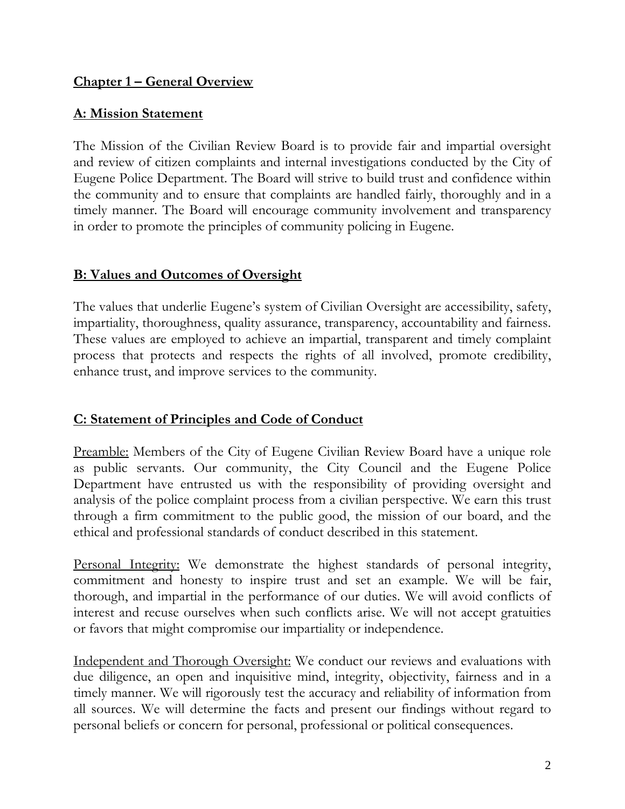# **Chapter 1 – General Overview**

# **A: Mission Statement**

The Mission of the Civilian Review Board is to provide fair and impartial oversight and review of citizen complaints and internal investigations conducted by the City of Eugene Police Department. The Board will strive to build trust and confidence within the community and to ensure that complaints are handled fairly, thoroughly and in a timely manner. The Board will encourage community involvement and transparency in order to promote the principles of community policing in Eugene.

## **B: Values and Outcomes of Oversight**

The values that underlie Eugene's system of Civilian Oversight are accessibility, safety, impartiality, thoroughness, quality assurance, transparency, accountability and fairness. These values are employed to achieve an impartial, transparent and timely complaint process that protects and respects the rights of all involved, promote credibility, enhance trust, and improve services to the community.

# **C: Statement of Principles and Code of Conduct**

Preamble: Members of the City of Eugene Civilian Review Board have a unique role as public servants. Our community, the City Council and the Eugene Police Department have entrusted us with the responsibility of providing oversight and analysis of the police complaint process from a civilian perspective. We earn this trust through a firm commitment to the public good, the mission of our board, and the ethical and professional standards of conduct described in this statement.

Personal Integrity: We demonstrate the highest standards of personal integrity, commitment and honesty to inspire trust and set an example. We will be fair, thorough, and impartial in the performance of our duties. We will avoid conflicts of interest and recuse ourselves when such conflicts arise. We will not accept gratuities or favors that might compromise our impartiality or independence.

Independent and Thorough Oversight: We conduct our reviews and evaluations with due diligence, an open and inquisitive mind, integrity, objectivity, fairness and in a timely manner. We will rigorously test the accuracy and reliability of information from all sources. We will determine the facts and present our findings without regard to personal beliefs or concern for personal, professional or political consequences.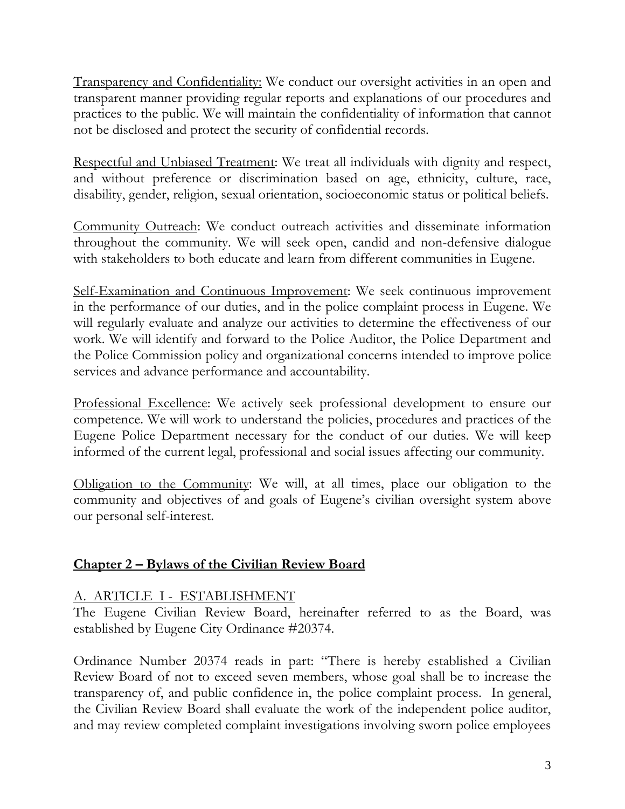Transparency and Confidentiality: We conduct our oversight activities in an open and transparent manner providing regular reports and explanations of our procedures and practices to the public. We will maintain the confidentiality of information that cannot not be disclosed and protect the security of confidential records.

Respectful and Unbiased Treatment: We treat all individuals with dignity and respect, and without preference or discrimination based on age, ethnicity, culture, race, disability, gender, religion, sexual orientation, socioeconomic status or political beliefs.

Community Outreach: We conduct outreach activities and disseminate information throughout the community. We will seek open, candid and non-defensive dialogue with stakeholders to both educate and learn from different communities in Eugene.

Self-Examination and Continuous Improvement: We seek continuous improvement in the performance of our duties, and in the police complaint process in Eugene. We will regularly evaluate and analyze our activities to determine the effectiveness of our work. We will identify and forward to the Police Auditor, the Police Department and the Police Commission policy and organizational concerns intended to improve police services and advance performance and accountability.

Professional Excellence: We actively seek professional development to ensure our competence. We will work to understand the policies, procedures and practices of the Eugene Police Department necessary for the conduct of our duties. We will keep informed of the current legal, professional and social issues affecting our community.

Obligation to the Community: We will, at all times, place our obligation to the community and objectives of and goals of Eugene's civilian oversight system above our personal self-interest.

## **Chapter 2 – Bylaws of the Civilian Review Board**

## A. ARTICLE I - ESTABLISHMENT

The Eugene Civilian Review Board, hereinafter referred to as the Board, was established by Eugene City Ordinance #20374.

Ordinance Number 20374 reads in part: "There is hereby established a Civilian Review Board of not to exceed seven members, whose goal shall be to increase the transparency of, and public confidence in, the police complaint process. In general, the Civilian Review Board shall evaluate the work of the independent police auditor, and may review completed complaint investigations involving sworn police employees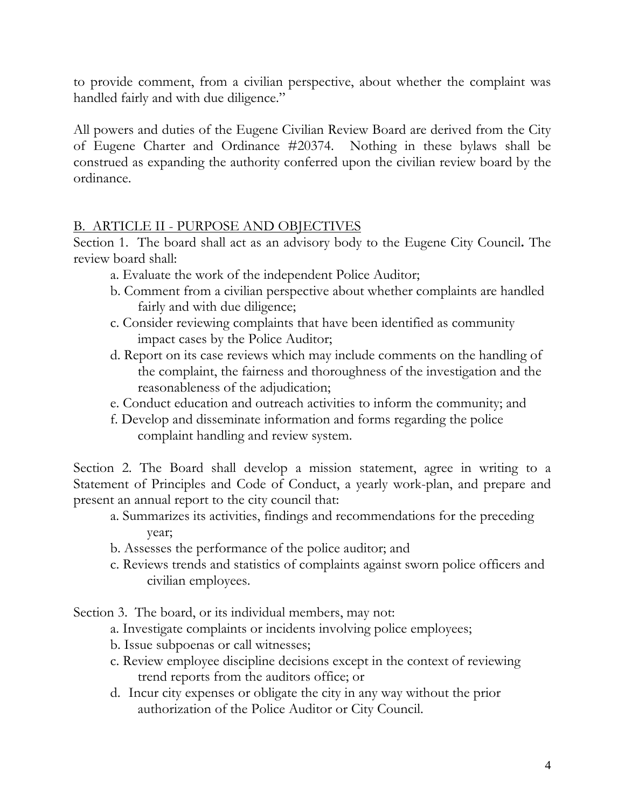to provide comment, from a civilian perspective, about whether the complaint was handled fairly and with due diligence."

All powers and duties of the Eugene Civilian Review Board are derived from the City of Eugene Charter and Ordinance #20374. Nothing in these bylaws shall be construed as expanding the authority conferred upon the civilian review board by the ordinance.

## B. ARTICLE II - PURPOSE AND OBJECTIVES

Section 1. The board shall act as an advisory body to the Eugene City Council**.** The review board shall:

- a. Evaluate the work of the independent Police Auditor;
- b. Comment from a civilian perspective about whether complaints are handled fairly and with due diligence;
- c. Consider reviewing complaints that have been identified as community impact cases by the Police Auditor;
- d. Report on its case reviews which may include comments on the handling of the complaint, the fairness and thoroughness of the investigation and the reasonableness of the adjudication;
- e. Conduct education and outreach activities to inform the community; and
- f. Develop and disseminate information and forms regarding the police complaint handling and review system.

Section 2. The Board shall develop a mission statement, agree in writing to a Statement of Principles and Code of Conduct, a yearly work-plan, and prepare and present an annual report to the city council that:

- a. Summarizes its activities, findings and recommendations for the preceding year;
- b. Assesses the performance of the police auditor; and
- c. Reviews trends and statistics of complaints against sworn police officers and civilian employees.

Section 3. The board, or its individual members, may not:

- a. Investigate complaints or incidents involving police employees;
- b. Issue subpoenas or call witnesses;
- c. Review employee discipline decisions except in the context of reviewing trend reports from the auditors office; or
- d. Incur city expenses or obligate the city in any way without the prior authorization of the Police Auditor or City Council.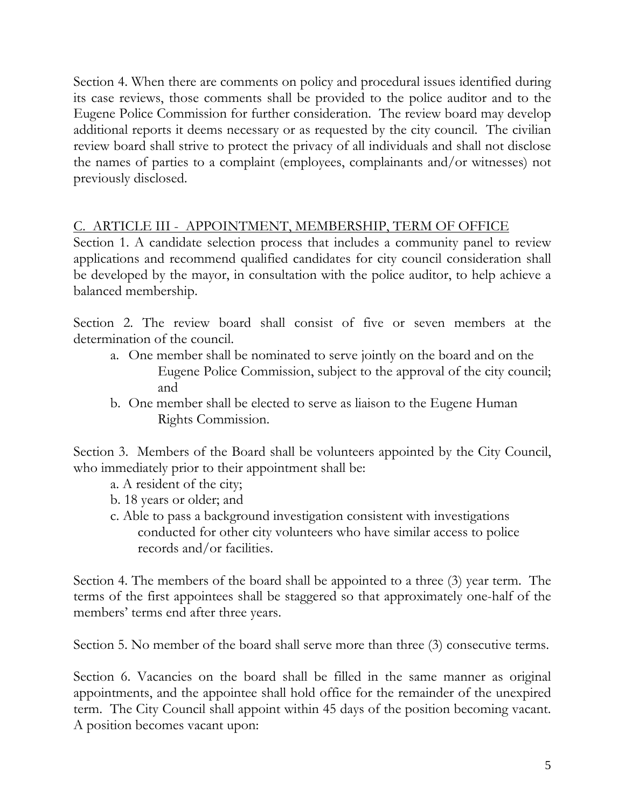Section 4. When there are comments on policy and procedural issues identified during its case reviews, those comments shall be provided to the police auditor and to the Eugene Police Commission for further consideration. The review board may develop additional reports it deems necessary or as requested by the city council. The civilian review board shall strive to protect the privacy of all individuals and shall not disclose the names of parties to a complaint (employees, complainants and/or witnesses) not previously disclosed.

## C. ARTICLE III - APPOINTMENT, MEMBERSHIP, TERM OF OFFICE

Section 1. A candidate selection process that includes a community panel to review applications and recommend qualified candidates for city council consideration shall be developed by the mayor, in consultation with the police auditor, to help achieve a balanced membership.

Section 2. The review board shall consist of five or seven members at the determination of the council.

- a. One member shall be nominated to serve jointly on the board and on the Eugene Police Commission, subject to the approval of the city council; and
- b. One member shall be elected to serve as liaison to the Eugene Human Rights Commission.

Section 3. Members of the Board shall be volunteers appointed by the City Council, who immediately prior to their appointment shall be:

- a. A resident of the city;
- b. 18 years or older; and
- c. Able to pass a background investigation consistent with investigations conducted for other city volunteers who have similar access to police records and/or facilities.

Section 4. The members of the board shall be appointed to a three (3) year term. The terms of the first appointees shall be staggered so that approximately one-half of the members' terms end after three years.

Section 5. No member of the board shall serve more than three (3) consecutive terms.

Section 6. Vacancies on the board shall be filled in the same manner as original appointments, and the appointee shall hold office for the remainder of the unexpired term. The City Council shall appoint within 45 days of the position becoming vacant. A position becomes vacant upon: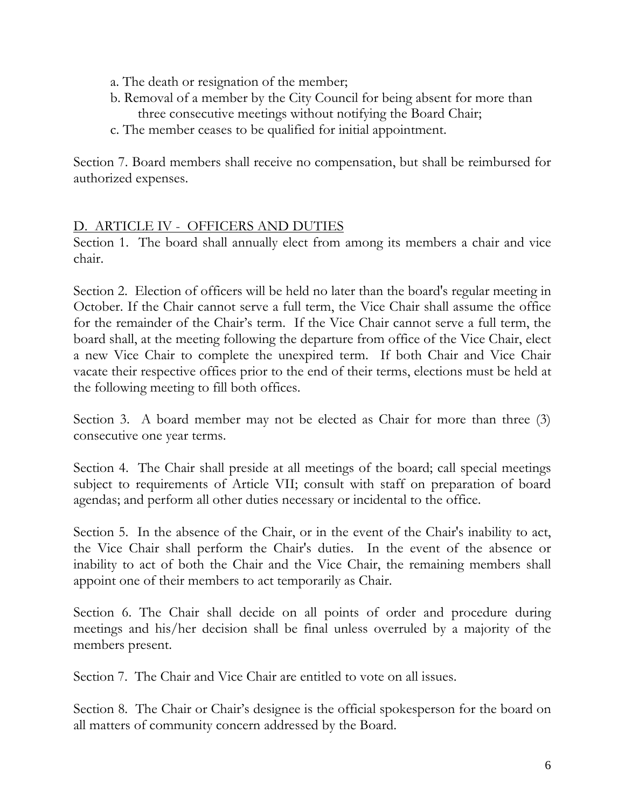- a. The death or resignation of the member;
- b. Removal of a member by the City Council for being absent for more than three consecutive meetings without notifying the Board Chair;
- c. The member ceases to be qualified for initial appointment.

Section 7. Board members shall receive no compensation, but shall be reimbursed for authorized expenses.

## D. ARTICLE IV - OFFICERS AND DUTIES

Section 1. The board shall annually elect from among its members a chair and vice chair.

Section 2. Election of officers will be held no later than the board's regular meeting in October. If the Chair cannot serve a full term, the Vice Chair shall assume the office for the remainder of the Chair's term. If the Vice Chair cannot serve a full term, the board shall, at the meeting following the departure from office of the Vice Chair, elect a new Vice Chair to complete the unexpired term. If both Chair and Vice Chair vacate their respective offices prior to the end of their terms, elections must be held at the following meeting to fill both offices.

Section 3. A board member may not be elected as Chair for more than three (3) consecutive one year terms.

Section 4. The Chair shall preside at all meetings of the board; call special meetings subject to requirements of Article VII; consult with staff on preparation of board agendas; and perform all other duties necessary or incidental to the office.

Section 5. In the absence of the Chair, or in the event of the Chair's inability to act, the Vice Chair shall perform the Chair's duties. In the event of the absence or inability to act of both the Chair and the Vice Chair, the remaining members shall appoint one of their members to act temporarily as Chair.

Section 6. The Chair shall decide on all points of order and procedure during meetings and his/her decision shall be final unless overruled by a majority of the members present.

Section 7. The Chair and Vice Chair are entitled to vote on all issues.

Section 8. The Chair or Chair's designee is the official spokesperson for the board on all matters of community concern addressed by the Board.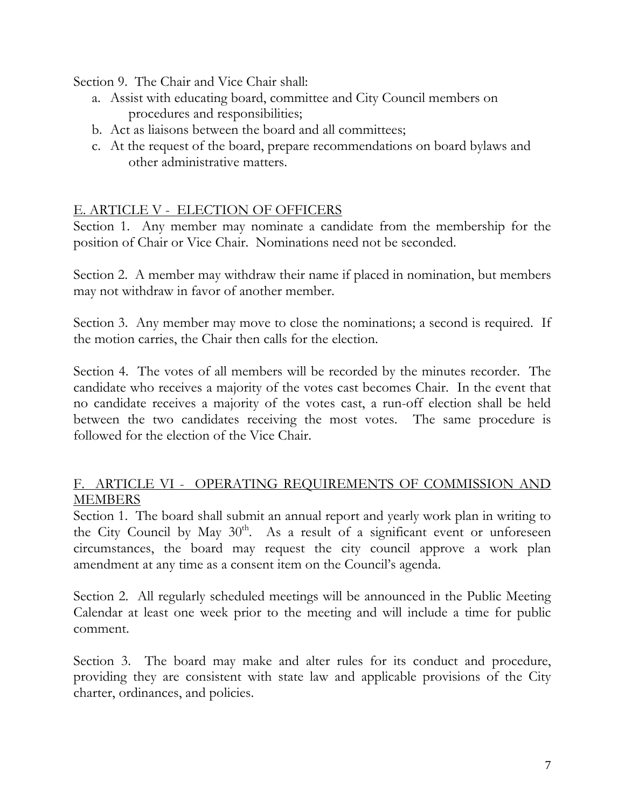Section 9. The Chair and Vice Chair shall:

- a. Assist with educating board, committee and City Council members on procedures and responsibilities;
- b. Act as liaisons between the board and all committees;
- c. At the request of the board, prepare recommendations on board bylaws and other administrative matters.

## E. ARTICLE V - ELECTION OF OFFICERS

Section 1. Any member may nominate a candidate from the membership for the position of Chair or Vice Chair. Nominations need not be seconded.

Section 2. A member may withdraw their name if placed in nomination, but members may not withdraw in favor of another member.

Section 3. Any member may move to close the nominations; a second is required. If the motion carries, the Chair then calls for the election.

Section 4. The votes of all members will be recorded by the minutes recorder. The candidate who receives a majority of the votes cast becomes Chair. In the event that no candidate receives a majority of the votes cast, a run-off election shall be held between the two candidates receiving the most votes. The same procedure is followed for the election of the Vice Chair.

## F. ARTICLE VI - OPERATING REQUIREMENTS OF COMMISSION AND **MEMBERS**

Section 1. The board shall submit an annual report and yearly work plan in writing to the City Council by May  $30<sup>th</sup>$ . As a result of a significant event or unforeseen circumstances, the board may request the city council approve a work plan amendment at any time as a consent item on the Council's agenda.

Section 2. All regularly scheduled meetings will be announced in the Public Meeting Calendar at least one week prior to the meeting and will include a time for public comment.

Section 3. The board may make and alter rules for its conduct and procedure, providing they are consistent with state law and applicable provisions of the City charter, ordinances, and policies.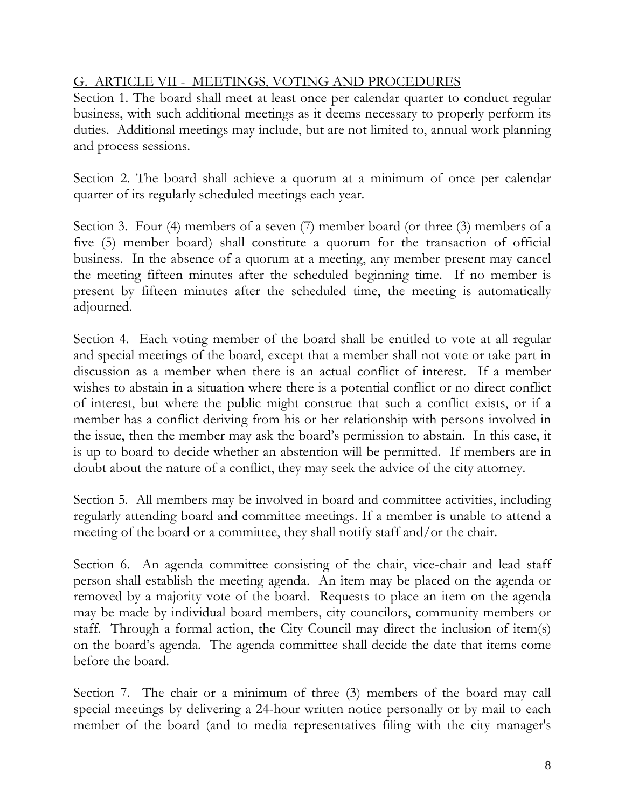# G. ARTICLE VII - MEETINGS, VOTING AND PROCEDURES

Section 1. The board shall meet at least once per calendar quarter to conduct regular business, with such additional meetings as it deems necessary to properly perform its duties. Additional meetings may include, but are not limited to, annual work planning and process sessions.

Section 2. The board shall achieve a quorum at a minimum of once per calendar quarter of its regularly scheduled meetings each year.

Section 3. Four (4) members of a seven (7) member board (or three (3) members of a five (5) member board) shall constitute a quorum for the transaction of official business. In the absence of a quorum at a meeting, any member present may cancel the meeting fifteen minutes after the scheduled beginning time. If no member is present by fifteen minutes after the scheduled time, the meeting is automatically adjourned.

Section 4. Each voting member of the board shall be entitled to vote at all regular and special meetings of the board, except that a member shall not vote or take part in discussion as a member when there is an actual conflict of interest. If a member wishes to abstain in a situation where there is a potential conflict or no direct conflict of interest, but where the public might construe that such a conflict exists, or if a member has a conflict deriving from his or her relationship with persons involved in the issue, then the member may ask the board's permission to abstain. In this case, it is up to board to decide whether an abstention will be permitted. If members are in doubt about the nature of a conflict, they may seek the advice of the city attorney.

Section 5. All members may be involved in board and committee activities, including regularly attending board and committee meetings. If a member is unable to attend a meeting of the board or a committee, they shall notify staff and/or the chair.

Section 6. An agenda committee consisting of the chair, vice-chair and lead staff person shall establish the meeting agenda. An item may be placed on the agenda or removed by a majority vote of the board. Requests to place an item on the agenda may be made by individual board members, city councilors, community members or staff. Through a formal action, the City Council may direct the inclusion of item(s) on the board's agenda. The agenda committee shall decide the date that items come before the board.

Section 7. The chair or a minimum of three (3) members of the board may call special meetings by delivering a 24-hour written notice personally or by mail to each member of the board (and to media representatives filing with the city manager's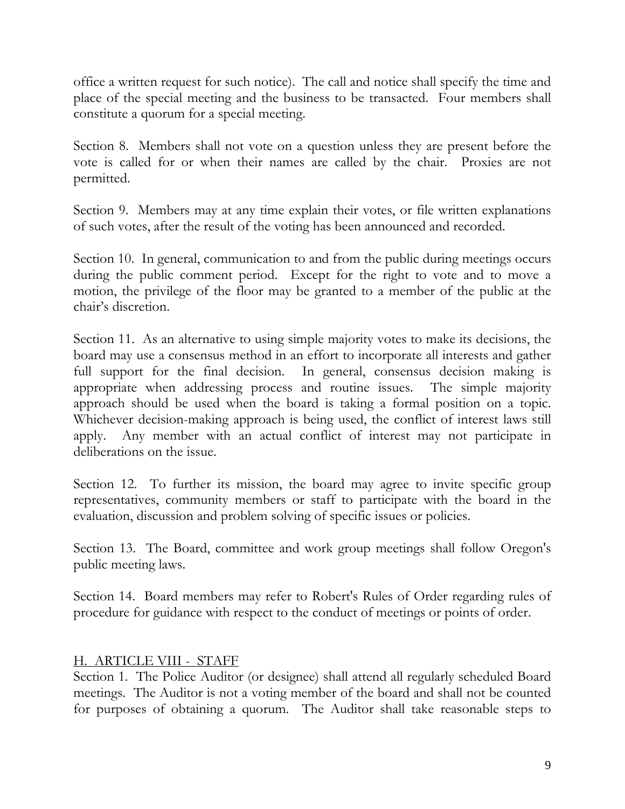office a written request for such notice). The call and notice shall specify the time and place of the special meeting and the business to be transacted. Four members shall constitute a quorum for a special meeting.

Section 8. Members shall not vote on a question unless they are present before the vote is called for or when their names are called by the chair. Proxies are not permitted.

Section 9. Members may at any time explain their votes, or file written explanations of such votes, after the result of the voting has been announced and recorded.

Section 10. In general, communication to and from the public during meetings occurs during the public comment period. Except for the right to vote and to move a motion, the privilege of the floor may be granted to a member of the public at the chair's discretion.

Section 11. As an alternative to using simple majority votes to make its decisions, the board may use a consensus method in an effort to incorporate all interests and gather full support for the final decision. In general, consensus decision making is appropriate when addressing process and routine issues. The simple majority approach should be used when the board is taking a formal position on a topic. Whichever decision-making approach is being used, the conflict of interest laws still apply. Any member with an actual conflict of interest may not participate in deliberations on the issue.

Section 12. To further its mission, the board may agree to invite specific group representatives, community members or staff to participate with the board in the evaluation, discussion and problem solving of specific issues or policies.

Section 13. The Board, committee and work group meetings shall follow Oregon's public meeting laws.

Section 14. Board members may refer to Robert's Rules of Order regarding rules of procedure for guidance with respect to the conduct of meetings or points of order.

## H. ARTICLE VIII - STAFF

Section 1. The Police Auditor (or designee) shall attend all regularly scheduled Board meetings. The Auditor is not a voting member of the board and shall not be counted for purposes of obtaining a quorum. The Auditor shall take reasonable steps to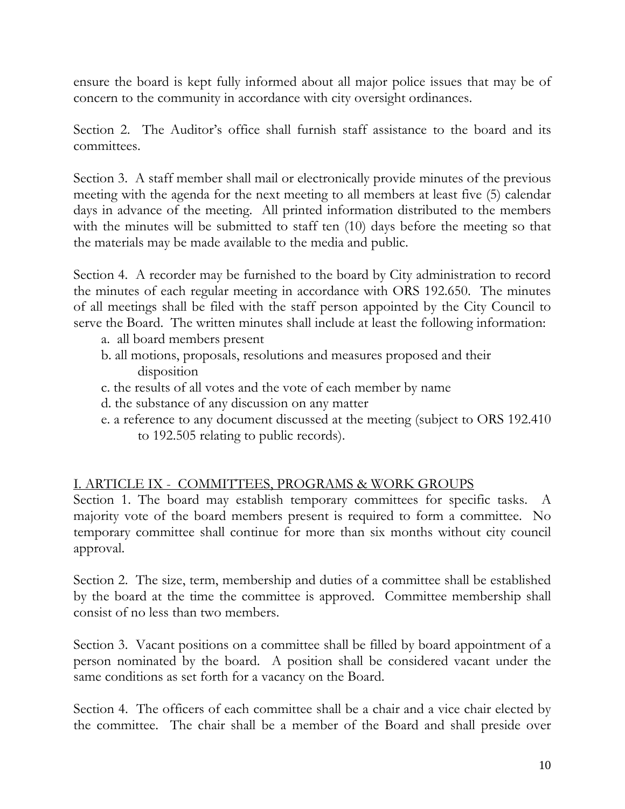ensure the board is kept fully informed about all major police issues that may be of concern to the community in accordance with city oversight ordinances.

Section 2. The Auditor's office shall furnish staff assistance to the board and its committees.

Section 3. A staff member shall mail or electronically provide minutes of the previous meeting with the agenda for the next meeting to all members at least five (5) calendar days in advance of the meeting. All printed information distributed to the members with the minutes will be submitted to staff ten (10) days before the meeting so that the materials may be made available to the media and public.

Section 4. A recorder may be furnished to the board by City administration to record the minutes of each regular meeting in accordance with ORS 192.650. The minutes of all meetings shall be filed with the staff person appointed by the City Council to serve the Board. The written minutes shall include at least the following information:

- a. all board members present
- b. all motions, proposals, resolutions and measures proposed and their disposition
- c. the results of all votes and the vote of each member by name
- d. the substance of any discussion on any matter
- e. a reference to any document discussed at the meeting (subject to ORS 192.410 to 192.505 relating to public records).

## I. ARTICLE IX - COMMITTEES, PROGRAMS & WORK GROUPS

Section 1. The board may establish temporary committees for specific tasks. A majority vote of the board members present is required to form a committee. No temporary committee shall continue for more than six months without city council approval.

Section 2. The size, term, membership and duties of a committee shall be established by the board at the time the committee is approved. Committee membership shall consist of no less than two members.

Section 3. Vacant positions on a committee shall be filled by board appointment of a person nominated by the board. A position shall be considered vacant under the same conditions as set forth for a vacancy on the Board.

Section 4. The officers of each committee shall be a chair and a vice chair elected by the committee. The chair shall be a member of the Board and shall preside over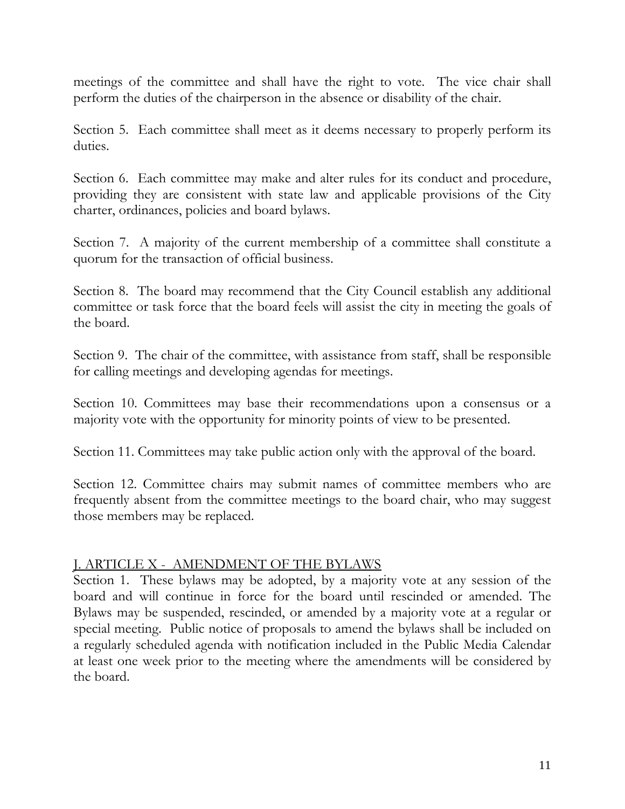meetings of the committee and shall have the right to vote. The vice chair shall perform the duties of the chairperson in the absence or disability of the chair.

Section 5. Each committee shall meet as it deems necessary to properly perform its duties.

Section 6. Each committee may make and alter rules for its conduct and procedure, providing they are consistent with state law and applicable provisions of the City charter, ordinances, policies and board bylaws.

Section 7. A majority of the current membership of a committee shall constitute a quorum for the transaction of official business.

Section 8. The board may recommend that the City Council establish any additional committee or task force that the board feels will assist the city in meeting the goals of the board.

Section 9. The chair of the committee, with assistance from staff, shall be responsible for calling meetings and developing agendas for meetings.

Section 10. Committees may base their recommendations upon a consensus or a majority vote with the opportunity for minority points of view to be presented.

Section 11. Committees may take public action only with the approval of the board.

Section 12. Committee chairs may submit names of committee members who are frequently absent from the committee meetings to the board chair, who may suggest those members may be replaced.

## J. ARTICLE X - AMENDMENT OF THE BYLAWS

Section 1. These bylaws may be adopted, by a majority vote at any session of the board and will continue in force for the board until rescinded or amended. The Bylaws may be suspended, rescinded, or amended by a majority vote at a regular or special meeting. Public notice of proposals to amend the bylaws shall be included on a regularly scheduled agenda with notification included in the Public Media Calendar at least one week prior to the meeting where the amendments will be considered by the board.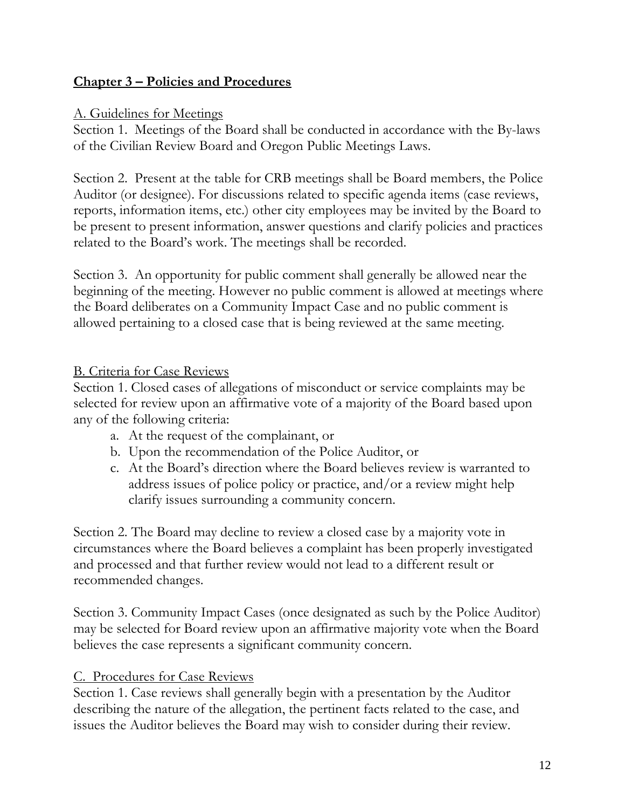# **Chapter 3 – Policies and Procedures**

## A. Guidelines for Meetings

Section 1. Meetings of the Board shall be conducted in accordance with the By-laws of the Civilian Review Board and Oregon Public Meetings Laws.

Section 2. Present at the table for CRB meetings shall be Board members, the Police Auditor (or designee). For discussions related to specific agenda items (case reviews, reports, information items, etc.) other city employees may be invited by the Board to be present to present information, answer questions and clarify policies and practices related to the Board's work. The meetings shall be recorded.

Section 3. An opportunity for public comment shall generally be allowed near the beginning of the meeting. However no public comment is allowed at meetings where the Board deliberates on a Community Impact Case and no public comment is allowed pertaining to a closed case that is being reviewed at the same meeting.

## B. Criteria for Case Reviews

Section 1. Closed cases of allegations of misconduct or service complaints may be selected for review upon an affirmative vote of a majority of the Board based upon any of the following criteria:

- a. At the request of the complainant, or
- b. Upon the recommendation of the Police Auditor, or
- c. At the Board's direction where the Board believes review is warranted to address issues of police policy or practice, and/or a review might help clarify issues surrounding a community concern.

Section 2. The Board may decline to review a closed case by a majority vote in circumstances where the Board believes a complaint has been properly investigated and processed and that further review would not lead to a different result or recommended changes.

Section 3. Community Impact Cases (once designated as such by the Police Auditor) may be selected for Board review upon an affirmative majority vote when the Board believes the case represents a significant community concern.

# C. Procedures for Case Reviews

Section 1. Case reviews shall generally begin with a presentation by the Auditor describing the nature of the allegation, the pertinent facts related to the case, and issues the Auditor believes the Board may wish to consider during their review.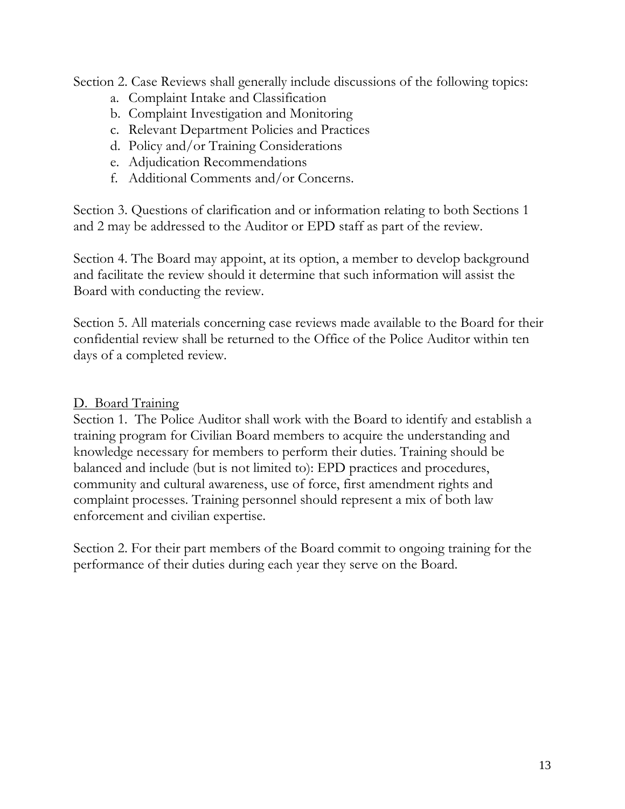Section 2. Case Reviews shall generally include discussions of the following topics:

- a. Complaint Intake and Classification
- b. Complaint Investigation and Monitoring
- c. Relevant Department Policies and Practices
- d. Policy and/or Training Considerations
- e. Adjudication Recommendations
- f. Additional Comments and/or Concerns.

Section 3. Questions of clarification and or information relating to both Sections 1 and 2 may be addressed to the Auditor or EPD staff as part of the review.

Section 4. The Board may appoint, at its option, a member to develop background and facilitate the review should it determine that such information will assist the Board with conducting the review.

Section 5. All materials concerning case reviews made available to the Board for their confidential review shall be returned to the Office of the Police Auditor within ten days of a completed review.

# D. Board Training

Section 1. The Police Auditor shall work with the Board to identify and establish a training program for Civilian Board members to acquire the understanding and knowledge necessary for members to perform their duties. Training should be balanced and include (but is not limited to): EPD practices and procedures, community and cultural awareness, use of force, first amendment rights and complaint processes. Training personnel should represent a mix of both law enforcement and civilian expertise.

Section 2. For their part members of the Board commit to ongoing training for the performance of their duties during each year they serve on the Board.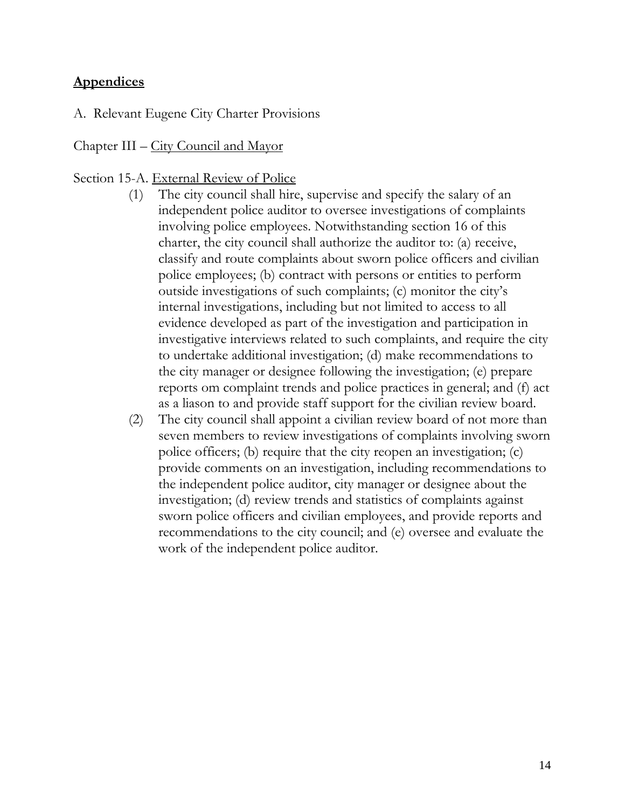# **Appendices**

A. Relevant Eugene City Charter Provisions

#### Chapter III – City Council and Mayor

#### Section 15-A. External Review of Police

- (1) The city council shall hire, supervise and specify the salary of an independent police auditor to oversee investigations of complaints involving police employees. Notwithstanding section 16 of this charter, the city council shall authorize the auditor to: (a) receive, classify and route complaints about sworn police officers and civilian police employees; (b) contract with persons or entities to perform outside investigations of such complaints; (c) monitor the city's internal investigations, including but not limited to access to all evidence developed as part of the investigation and participation in investigative interviews related to such complaints, and require the city to undertake additional investigation; (d) make recommendations to the city manager or designee following the investigation; (e) prepare reports om complaint trends and police practices in general; and (f) act as a liason to and provide staff support for the civilian review board.
- (2) The city council shall appoint a civilian review board of not more than seven members to review investigations of complaints involving sworn police officers; (b) require that the city reopen an investigation; (c) provide comments on an investigation, including recommendations to the independent police auditor, city manager or designee about the investigation; (d) review trends and statistics of complaints against sworn police officers and civilian employees, and provide reports and recommendations to the city council; and (e) oversee and evaluate the work of the independent police auditor.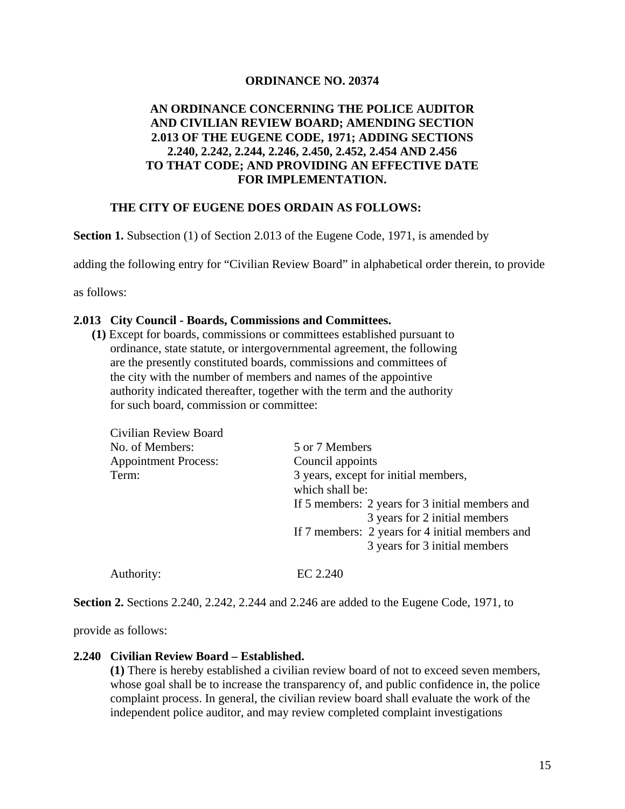#### **ORDINANCE NO. 20374**

#### **AN ORDINANCE CONCERNING THE POLICE AUDITOR AND CIVILIAN REVIEW BOARD; AMENDING SECTION 2.013 OF THE EUGENE CODE, 1971; ADDING SECTIONS 2.240, 2.242, 2.244, 2.246, 2.450, 2.452, 2.454 AND 2.456 TO THAT CODE; AND PROVIDING AN EFFECTIVE DATE FOR IMPLEMENTATION.**

#### **THE CITY OF EUGENE DOES ORDAIN AS FOLLOWS:**

**Section 1.** Subsection (1) of Section 2.013 of the Eugene Code, 1971, is amended by

adding the following entry for "Civilian Review Board" in alphabetical order therein, to provide

as follows:

#### **2.013 City Council - Boards, Commissions and Committees.**

 **(1)** Except for boards, commissions or committees established pursuant to ordinance, state statute, or intergovernmental agreement, the following are the presently constituted boards, commissions and committees of the city with the number of members and names of the appointive authority indicated thereafter, together with the term and the authority for such board, commission or committee:

| Civilian Review Board       |                                                 |
|-----------------------------|-------------------------------------------------|
| No. of Members:             | 5 or 7 Members                                  |
| <b>Appointment Process:</b> | Council appoints                                |
| Term:                       | 3 years, except for initial members,            |
|                             | which shall be:                                 |
|                             | If 5 members: 2 years for 3 initial members and |
|                             | 3 years for 2 initial members                   |
|                             | If 7 members: 2 years for 4 initial members and |
|                             | 3 years for 3 initial members                   |
|                             |                                                 |

**Section 2.** Sections 2.240, 2.242, 2.244 and 2.246 are added to the Eugene Code, 1971, to

provide as follows:

#### **2.240 Civilian Review Board – Established.**

Authority: EC 2.240

 **(1)** There is hereby established a civilian review board of not to exceed seven members, whose goal shall be to increase the transparency of, and public confidence in, the police complaint process. In general, the civilian review board shall evaluate the work of the independent police auditor, and may review completed complaint investigations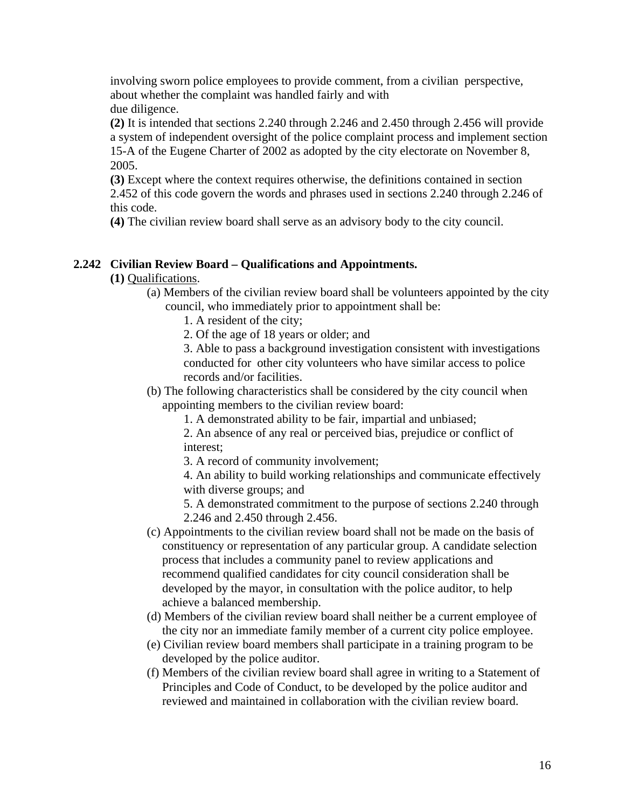involving sworn police employees to provide comment, from a civilian perspective, about whether the complaint was handled fairly and with due diligence.

 **(2)** It is intended that sections 2.240 through 2.246 and 2.450 through 2.456 will provide a system of independent oversight of the police complaint process and implement section 15-A of the Eugene Charter of 2002 as adopted by the city electorate on November 8, 2005.

 **(3)** Except where the context requires otherwise, the definitions contained in section 2.452 of this code govern the words and phrases used in sections 2.240 through 2.246 of this code.

 **(4)** The civilian review board shall serve as an advisory body to the city council.

#### **2.242 Civilian Review Board – Qualifications and Appointments.**

 **(1)** Qualifications.

 (a) Members of the civilian review board shall be volunteers appointed by the city council, who immediately prior to appointment shall be:

1. A resident of the city;

2. Of the age of 18 years or older; and

 3. Able to pass a background investigation consistent with investigations conducted for other city volunteers who have similar access to police records and/or facilities.

 (b) The following characteristics shall be considered by the city council when appointing members to the civilian review board:

1. A demonstrated ability to be fair, impartial and unbiased;

 2. An absence of any real or perceived bias, prejudice or conflict of interest;

3. A record of community involvement;

 4. An ability to build working relationships and communicate effectively with diverse groups; and

 5. A demonstrated commitment to the purpose of sections 2.240 through 2.246 and 2.450 through 2.456.

- (c) Appointments to the civilian review board shall not be made on the basis of constituency or representation of any particular group. A candidate selection process that includes a community panel to review applications and recommend qualified candidates for city council consideration shall be developed by the mayor, in consultation with the police auditor, to help achieve a balanced membership.
- (d) Members of the civilian review board shall neither be a current employee of the city nor an immediate family member of a current city police employee.
- (e) Civilian review board members shall participate in a training program to be developed by the police auditor.
- (f) Members of the civilian review board shall agree in writing to a Statement of Principles and Code of Conduct, to be developed by the police auditor and reviewed and maintained in collaboration with the civilian review board.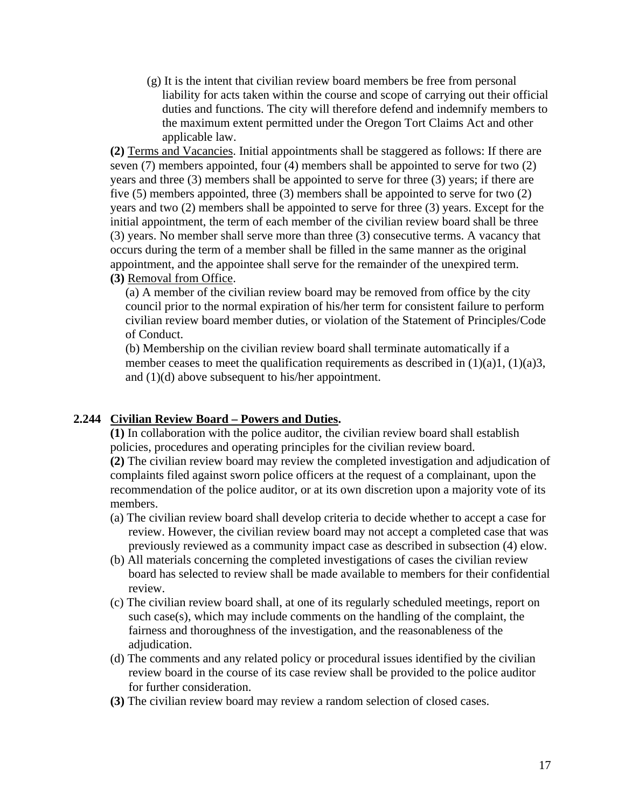(g) It is the intent that civilian review board members be free from personal liability for acts taken within the course and scope of carrying out their official duties and functions. The city will therefore defend and indemnify members to the maximum extent permitted under the Oregon Tort Claims Act and other applicable law.

 **(2)** Terms and Vacancies. Initial appointments shall be staggered as follows: If there are seven (7) members appointed, four (4) members shall be appointed to serve for two (2) years and three (3) members shall be appointed to serve for three (3) years; if there are five (5) members appointed, three (3) members shall be appointed to serve for two (2) years and two (2) members shall be appointed to serve for three (3) years. Except for the initial appointment, the term of each member of the civilian review board shall be three (3) years. No member shall serve more than three (3) consecutive terms. A vacancy that occurs during the term of a member shall be filled in the same manner as the original appointment, and the appointee shall serve for the remainder of the unexpired term.  **(3)** Removal from Office.

 (a) A member of the civilian review board may be removed from office by the city council prior to the normal expiration of his/her term for consistent failure to perform civilian review board member duties, or violation of the Statement of Principles/Code of Conduct.

 (b) Membership on the civilian review board shall terminate automatically if a member ceases to meet the qualification requirements as described in  $(1)(a)1$ ,  $(1)(a)3$ , and (1)(d) above subsequent to his/her appointment.

#### **2.244 Civilian Review Board – Powers and Duties.**

 **(1)** In collaboration with the police auditor, the civilian review board shall establish policies, procedures and operating principles for the civilian review board.

 **(2)** The civilian review board may review the completed investigation and adjudication of complaints filed against sworn police officers at the request of a complainant, upon the recommendation of the police auditor, or at its own discretion upon a majority vote of its members.

- (a) The civilian review board shall develop criteria to decide whether to accept a case for review. However, the civilian review board may not accept a completed case that was previously reviewed as a community impact case as described in subsection (4) elow.
- (b) All materials concerning the completed investigations of cases the civilian review board has selected to review shall be made available to members for their confidential review.
- (c) The civilian review board shall, at one of its regularly scheduled meetings, report on such case(s), which may include comments on the handling of the complaint, the fairness and thoroughness of the investigation, and the reasonableness of the adjudication.
- (d) The comments and any related policy or procedural issues identified by the civilian review board in the course of its case review shall be provided to the police auditor for further consideration.
- **(3)** The civilian review board may review a random selection of closed cases.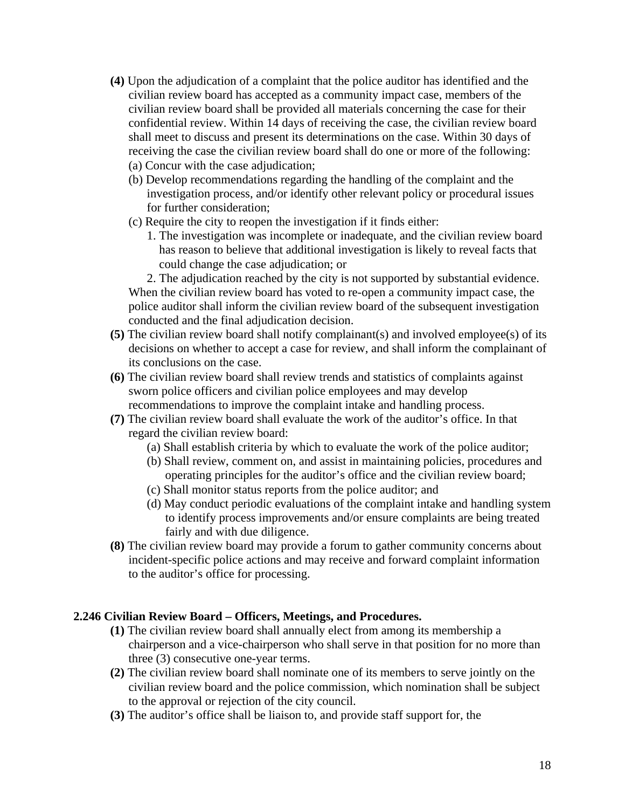- **(4)** Upon the adjudication of a complaint that the police auditor has identified and the civilian review board has accepted as a community impact case, members of the civilian review board shall be provided all materials concerning the case for their confidential review. Within 14 days of receiving the case, the civilian review board shall meet to discuss and present its determinations on the case. Within 30 days of receiving the case the civilian review board shall do one or more of the following: (a) Concur with the case adjudication;
	- (b) Develop recommendations regarding the handling of the complaint and the investigation process, and/or identify other relevant policy or procedural issues for further consideration;
	- (c) Require the city to reopen the investigation if it finds either:
		- 1. The investigation was incomplete or inadequate, and the civilian review board has reason to believe that additional investigation is likely to reveal facts that could change the case adjudication; or

 2. The adjudication reached by the city is not supported by substantial evidence. When the civilian review board has voted to re-open a community impact case, the police auditor shall inform the civilian review board of the subsequent investigation conducted and the final adjudication decision.

- **(5)** The civilian review board shall notify complainant(s) and involved employee(s) of its decisions on whether to accept a case for review, and shall inform the complainant of its conclusions on the case.
- **(6)** The civilian review board shall review trends and statistics of complaints against sworn police officers and civilian police employees and may develop recommendations to improve the complaint intake and handling process.
- **(7)** The civilian review board shall evaluate the work of the auditor's office. In that regard the civilian review board:
	- (a) Shall establish criteria by which to evaluate the work of the police auditor;
	- (b) Shall review, comment on, and assist in maintaining policies, procedures and operating principles for the auditor's office and the civilian review board;
	- (c) Shall monitor status reports from the police auditor; and
	- (d) May conduct periodic evaluations of the complaint intake and handling system to identify process improvements and/or ensure complaints are being treated fairly and with due diligence.
- **(8)** The civilian review board may provide a forum to gather community concerns about incident-specific police actions and may receive and forward complaint information to the auditor's office for processing.

#### **2.246 Civilian Review Board – Officers, Meetings, and Procedures.**

- **(1)** The civilian review board shall annually elect from among its membership a chairperson and a vice-chairperson who shall serve in that position for no more than three (3) consecutive one-year terms.
- **(2)** The civilian review board shall nominate one of its members to serve jointly on the civilian review board and the police commission, which nomination shall be subject to the approval or rejection of the city council.
- **(3)** The auditor's office shall be liaison to, and provide staff support for, the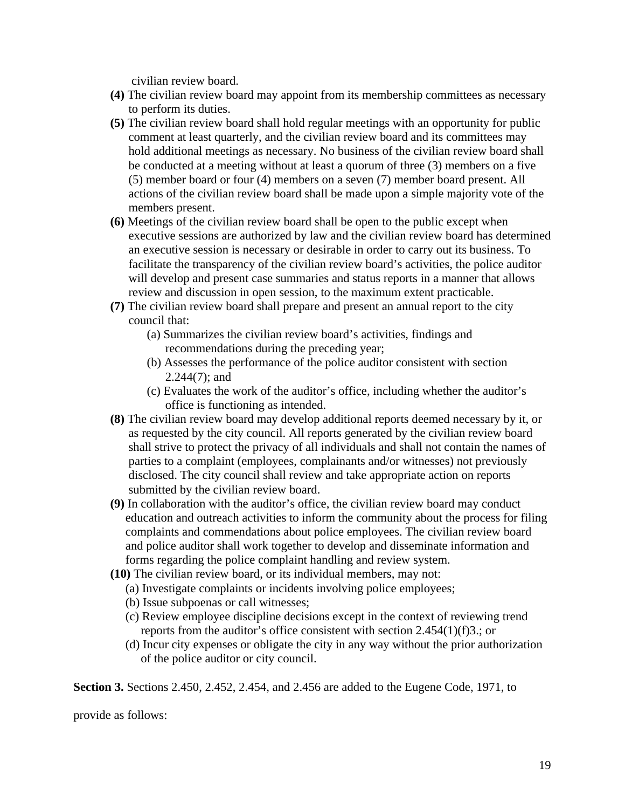civilian review board.

- **(4)** The civilian review board may appoint from its membership committees as necessary to perform its duties.
- **(5)** The civilian review board shall hold regular meetings with an opportunity for public comment at least quarterly, and the civilian review board and its committees may hold additional meetings as necessary. No business of the civilian review board shall be conducted at a meeting without at least a quorum of three (3) members on a five (5) member board or four (4) members on a seven (7) member board present. All actions of the civilian review board shall be made upon a simple majority vote of the members present.
- **(6)** Meetings of the civilian review board shall be open to the public except when executive sessions are authorized by law and the civilian review board has determined an executive session is necessary or desirable in order to carry out its business. To facilitate the transparency of the civilian review board's activities, the police auditor will develop and present case summaries and status reports in a manner that allows review and discussion in open session, to the maximum extent practicable.
- **(7)** The civilian review board shall prepare and present an annual report to the city council that:
	- (a) Summarizes the civilian review board's activities, findings and recommendations during the preceding year;
	- (b) Assesses the performance of the police auditor consistent with section 2.244(7); and
	- (c) Evaluates the work of the auditor's office, including whether the auditor's office is functioning as intended.
- **(8)** The civilian review board may develop additional reports deemed necessary by it, or as requested by the city council. All reports generated by the civilian review board shall strive to protect the privacy of all individuals and shall not contain the names of parties to a complaint (employees, complainants and/or witnesses) not previously disclosed. The city council shall review and take appropriate action on reports submitted by the civilian review board.
- **(9)** In collaboration with the auditor's office, the civilian review board may conduct education and outreach activities to inform the community about the process for filing complaints and commendations about police employees. The civilian review board and police auditor shall work together to develop and disseminate information and forms regarding the police complaint handling and review system.
- **(10)** The civilian review board, or its individual members, may not:
	- (a) Investigate complaints or incidents involving police employees;
	- (b) Issue subpoenas or call witnesses;
	- (c) Review employee discipline decisions except in the context of reviewing trend reports from the auditor's office consistent with section 2.454(1)(f)3.; or
	- (d) Incur city expenses or obligate the city in any way without the prior authorization of the police auditor or city council.

**Section 3.** Sections 2.450, 2.452, 2.454, and 2.456 are added to the Eugene Code, 1971, to

provide as follows: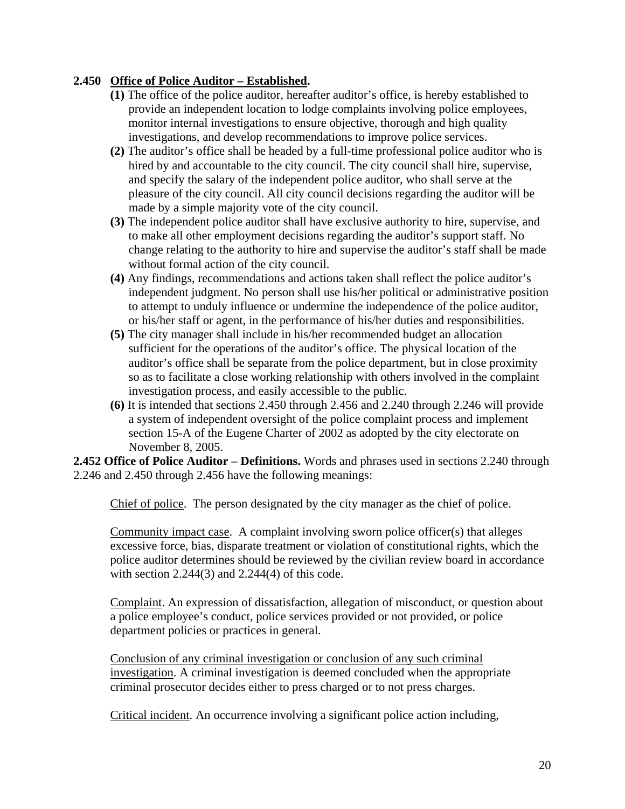#### **2.450 Office of Police Auditor – Established.**

- **(1)** The office of the police auditor, hereafter auditor's office, is hereby established to provide an independent location to lodge complaints involving police employees, monitor internal investigations to ensure objective, thorough and high quality investigations, and develop recommendations to improve police services.
- **(2)** The auditor's office shall be headed by a full-time professional police auditor who is hired by and accountable to the city council. The city council shall hire, supervise, and specify the salary of the independent police auditor, who shall serve at the pleasure of the city council. All city council decisions regarding the auditor will be made by a simple majority vote of the city council.
- **(3)** The independent police auditor shall have exclusive authority to hire, supervise, and to make all other employment decisions regarding the auditor's support staff. No change relating to the authority to hire and supervise the auditor's staff shall be made without formal action of the city council.
- **(4)** Any findings, recommendations and actions taken shall reflect the police auditor's independent judgment. No person shall use his/her political or administrative position to attempt to unduly influence or undermine the independence of the police auditor, or his/her staff or agent, in the performance of his/her duties and responsibilities.
- **(5)** The city manager shall include in his/her recommended budget an allocation sufficient for the operations of the auditor's office. The physical location of the auditor's office shall be separate from the police department, but in close proximity so as to facilitate a close working relationship with others involved in the complaint investigation process, and easily accessible to the public.
- **(6)** It is intended that sections 2.450 through 2.456 and 2.240 through 2.246 will provide a system of independent oversight of the police complaint process and implement section 15-A of the Eugene Charter of 2002 as adopted by the city electorate on November 8, 2005.

**2.452 Office of Police Auditor – Definitions.** Words and phrases used in sections 2.240 through 2.246 and 2.450 through 2.456 have the following meanings:

Chief of police. The person designated by the city manager as the chief of police.

 Community impact case. A complaint involving sworn police officer(s) that alleges excessive force, bias, disparate treatment or violation of constitutional rights, which the police auditor determines should be reviewed by the civilian review board in accordance with section  $2.244(3)$  and  $2.244(4)$  of this code.

 Complaint. An expression of dissatisfaction, allegation of misconduct, or question about a police employee's conduct, police services provided or not provided, or police department policies or practices in general.

 Conclusion of any criminal investigation or conclusion of any such criminal investigation. A criminal investigation is deemed concluded when the appropriate criminal prosecutor decides either to press charged or to not press charges.

Critical incident. An occurrence involving a significant police action including,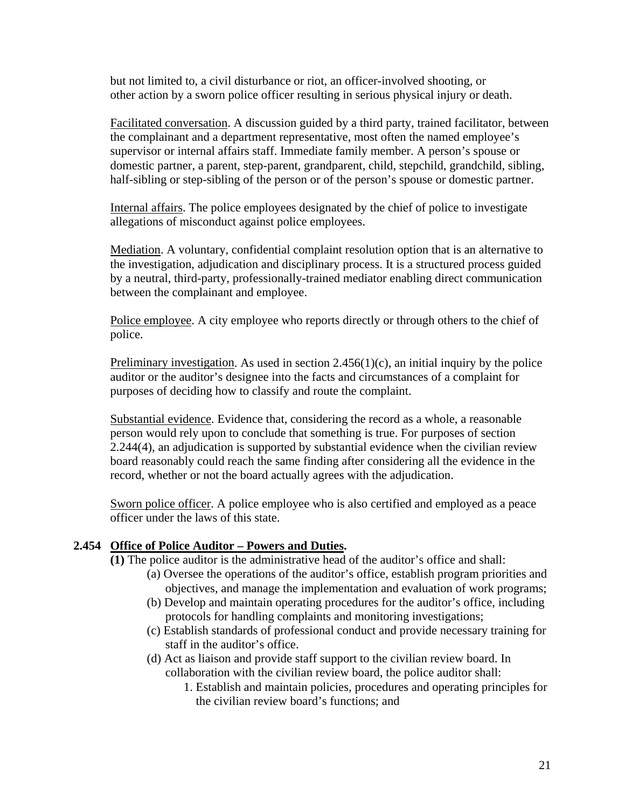but not limited to, a civil disturbance or riot, an officer-involved shooting, or other action by a sworn police officer resulting in serious physical injury or death.

 Facilitated conversation. A discussion guided by a third party, trained facilitator, between the complainant and a department representative, most often the named employee's supervisor or internal affairs staff. Immediate family member. A person's spouse or domestic partner, a parent, step-parent, grandparent, child, stepchild, grandchild, sibling, half-sibling or step-sibling of the person or of the person's spouse or domestic partner.

 Internal affairs. The police employees designated by the chief of police to investigate allegations of misconduct against police employees.

 Mediation. A voluntary, confidential complaint resolution option that is an alternative to the investigation, adjudication and disciplinary process. It is a structured process guided by a neutral, third-party, professionally-trained mediator enabling direct communication between the complainant and employee.

 Police employee. A city employee who reports directly or through others to the chief of police.

Preliminary investigation. As used in section  $2.456(1)(c)$ , an initial inquiry by the police auditor or the auditor's designee into the facts and circumstances of a complaint for purposes of deciding how to classify and route the complaint.

 Substantial evidence. Evidence that, considering the record as a whole, a reasonable person would rely upon to conclude that something is true. For purposes of section 2.244(4), an adjudication is supported by substantial evidence when the civilian review board reasonably could reach the same finding after considering all the evidence in the record, whether or not the board actually agrees with the adjudication.

 Sworn police officer. A police employee who is also certified and employed as a peace officer under the laws of this state.

#### **2.454 Office of Police Auditor – Powers and Duties.**

 **(1)** The police auditor is the administrative head of the auditor's office and shall:

- (a) Oversee the operations of the auditor's office, establish program priorities and objectives, and manage the implementation and evaluation of work programs;
- (b) Develop and maintain operating procedures for the auditor's office, including protocols for handling complaints and monitoring investigations;
- (c) Establish standards of professional conduct and provide necessary training for staff in the auditor's office.
- (d) Act as liaison and provide staff support to the civilian review board. In collaboration with the civilian review board, the police auditor shall:
	- 1. Establish and maintain policies, procedures and operating principles for the civilian review board's functions; and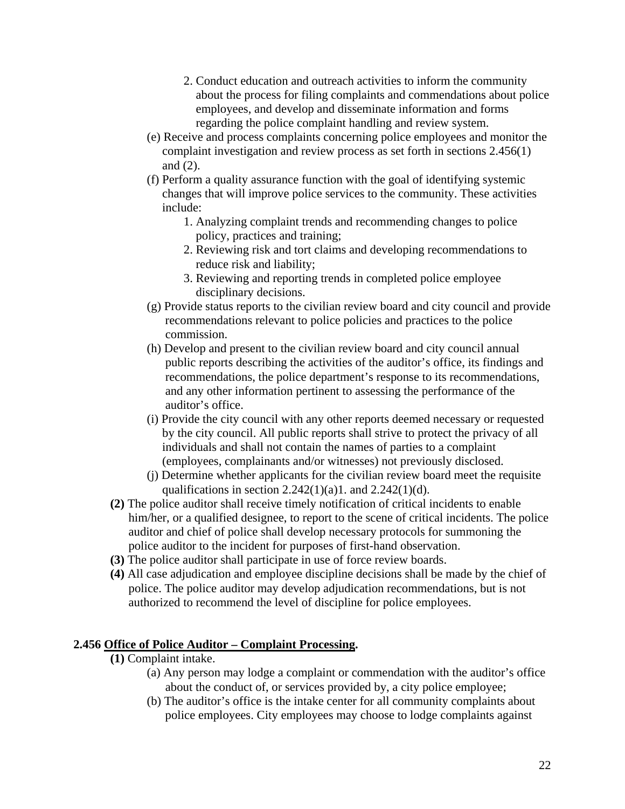- 2. Conduct education and outreach activities to inform the community about the process for filing complaints and commendations about police employees, and develop and disseminate information and forms regarding the police complaint handling and review system.
- (e) Receive and process complaints concerning police employees and monitor the complaint investigation and review process as set forth in sections 2.456(1) and (2).
- (f) Perform a quality assurance function with the goal of identifying systemic changes that will improve police services to the community. These activities include:
	- 1. Analyzing complaint trends and recommending changes to police policy, practices and training;
	- 2. Reviewing risk and tort claims and developing recommendations to reduce risk and liability;
	- 3. Reviewing and reporting trends in completed police employee disciplinary decisions.
- (g) Provide status reports to the civilian review board and city council and provide recommendations relevant to police policies and practices to the police commission.
- (h) Develop and present to the civilian review board and city council annual public reports describing the activities of the auditor's office, its findings and recommendations, the police department's response to its recommendations, and any other information pertinent to assessing the performance of the auditor's office.
- (i) Provide the city council with any other reports deemed necessary or requested by the city council. All public reports shall strive to protect the privacy of all individuals and shall not contain the names of parties to a complaint (employees, complainants and/or witnesses) not previously disclosed.
- (j) Determine whether applicants for the civilian review board meet the requisite qualifications in section  $2.242(1)(a)1$ . and  $2.242(1)(d)$ .
- **(2)** The police auditor shall receive timely notification of critical incidents to enable him/her, or a qualified designee, to report to the scene of critical incidents. The police auditor and chief of police shall develop necessary protocols for summoning the police auditor to the incident for purposes of first-hand observation.
- **(3)** The police auditor shall participate in use of force review boards.
- **(4)** All case adjudication and employee discipline decisions shall be made by the chief of police. The police auditor may develop adjudication recommendations, but is not authorized to recommend the level of discipline for police employees.

#### **2.456 Office of Police Auditor – Complaint Processing.**

- **(1)** Complaint intake.
	- (a) Any person may lodge a complaint or commendation with the auditor's office about the conduct of, or services provided by, a city police employee;
	- (b) The auditor's office is the intake center for all community complaints about police employees. City employees may choose to lodge complaints against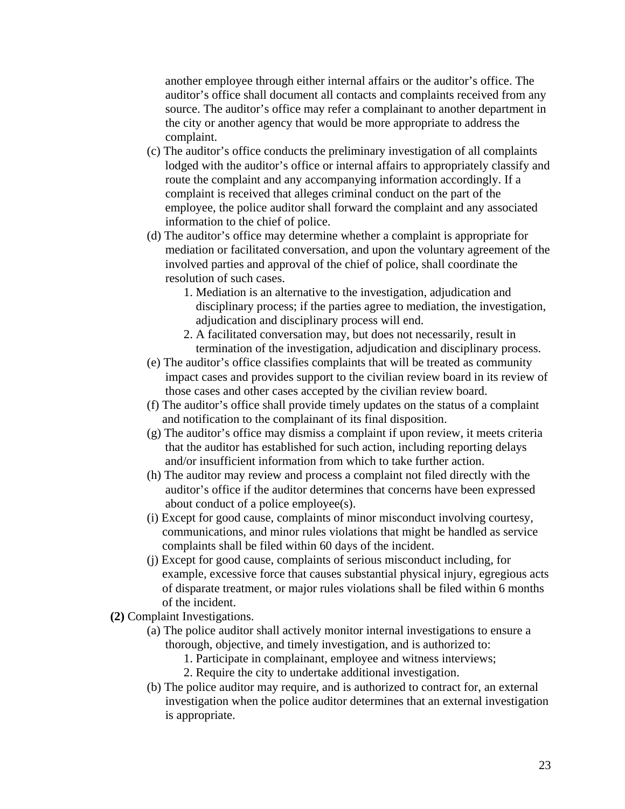another employee through either internal affairs or the auditor's office. The auditor's office shall document all contacts and complaints received from any source. The auditor's office may refer a complainant to another department in the city or another agency that would be more appropriate to address the complaint.

- (c) The auditor's office conducts the preliminary investigation of all complaints lodged with the auditor's office or internal affairs to appropriately classify and route the complaint and any accompanying information accordingly. If a complaint is received that alleges criminal conduct on the part of the employee, the police auditor shall forward the complaint and any associated information to the chief of police.
- (d) The auditor's office may determine whether a complaint is appropriate for mediation or facilitated conversation, and upon the voluntary agreement of the involved parties and approval of the chief of police, shall coordinate the resolution of such cases.
	- 1. Mediation is an alternative to the investigation, adjudication and disciplinary process; if the parties agree to mediation, the investigation, adjudication and disciplinary process will end.
	- 2. A facilitated conversation may, but does not necessarily, result in termination of the investigation, adjudication and disciplinary process.
- (e) The auditor's office classifies complaints that will be treated as community impact cases and provides support to the civilian review board in its review of those cases and other cases accepted by the civilian review board.
- (f) The auditor's office shall provide timely updates on the status of a complaint and notification to the complainant of its final disposition.
- (g) The auditor's office may dismiss a complaint if upon review, it meets criteria that the auditor has established for such action, including reporting delays and/or insufficient information from which to take further action.
- (h) The auditor may review and process a complaint not filed directly with the auditor's office if the auditor determines that concerns have been expressed about conduct of a police employee(s).
- (i) Except for good cause, complaints of minor misconduct involving courtesy, communications, and minor rules violations that might be handled as service complaints shall be filed within 60 days of the incident.
- (j) Except for good cause, complaints of serious misconduct including, for example, excessive force that causes substantial physical injury, egregious acts of disparate treatment, or major rules violations shall be filed within 6 months of the incident.
- **(2)** Complaint Investigations.
	- (a) The police auditor shall actively monitor internal investigations to ensure a thorough, objective, and timely investigation, and is authorized to:
		- 1. Participate in complainant, employee and witness interviews;
		- 2. Require the city to undertake additional investigation.
	- (b) The police auditor may require, and is authorized to contract for, an external investigation when the police auditor determines that an external investigation is appropriate.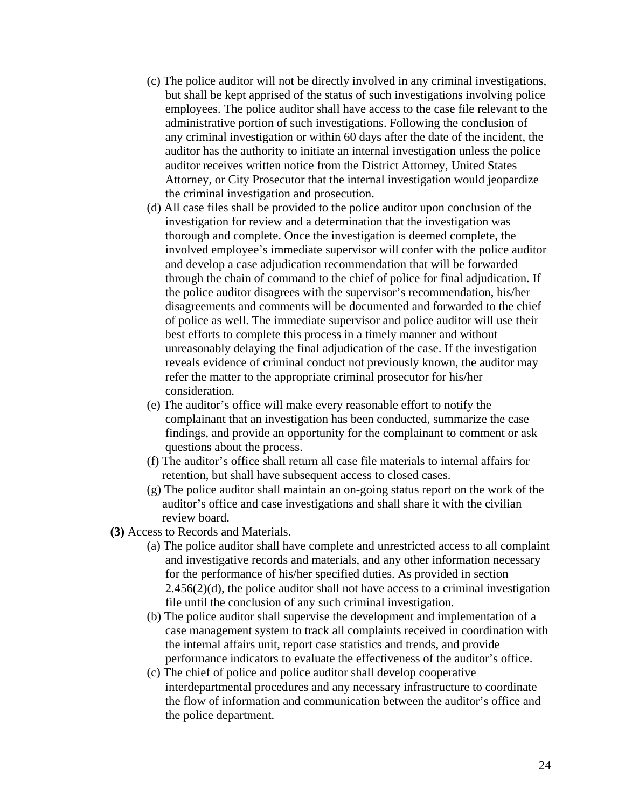- (c) The police auditor will not be directly involved in any criminal investigations, but shall be kept apprised of the status of such investigations involving police employees. The police auditor shall have access to the case file relevant to the administrative portion of such investigations. Following the conclusion of any criminal investigation or within 60 days after the date of the incident, the auditor has the authority to initiate an internal investigation unless the police auditor receives written notice from the District Attorney, United States Attorney, or City Prosecutor that the internal investigation would jeopardize the criminal investigation and prosecution.
- (d) All case files shall be provided to the police auditor upon conclusion of the investigation for review and a determination that the investigation was thorough and complete. Once the investigation is deemed complete, the involved employee's immediate supervisor will confer with the police auditor and develop a case adjudication recommendation that will be forwarded through the chain of command to the chief of police for final adjudication. If the police auditor disagrees with the supervisor's recommendation, his/her disagreements and comments will be documented and forwarded to the chief of police as well. The immediate supervisor and police auditor will use their best efforts to complete this process in a timely manner and without unreasonably delaying the final adjudication of the case. If the investigation reveals evidence of criminal conduct not previously known, the auditor may refer the matter to the appropriate criminal prosecutor for his/her consideration.
- (e) The auditor's office will make every reasonable effort to notify the complainant that an investigation has been conducted, summarize the case findings, and provide an opportunity for the complainant to comment or ask questions about the process.
- (f) The auditor's office shall return all case file materials to internal affairs for retention, but shall have subsequent access to closed cases.
- (g) The police auditor shall maintain an on-going status report on the work of the auditor's office and case investigations and shall share it with the civilian review board.
- **(3)** Access to Records and Materials.
	- (a) The police auditor shall have complete and unrestricted access to all complaint and investigative records and materials, and any other information necessary for the performance of his/her specified duties. As provided in section  $2.456(2)(d)$ , the police auditor shall not have access to a criminal investigation file until the conclusion of any such criminal investigation.
	- (b) The police auditor shall supervise the development and implementation of a case management system to track all complaints received in coordination with the internal affairs unit, report case statistics and trends, and provide performance indicators to evaluate the effectiveness of the auditor's office.
	- (c) The chief of police and police auditor shall develop cooperative interdepartmental procedures and any necessary infrastructure to coordinate the flow of information and communication between the auditor's office and the police department.